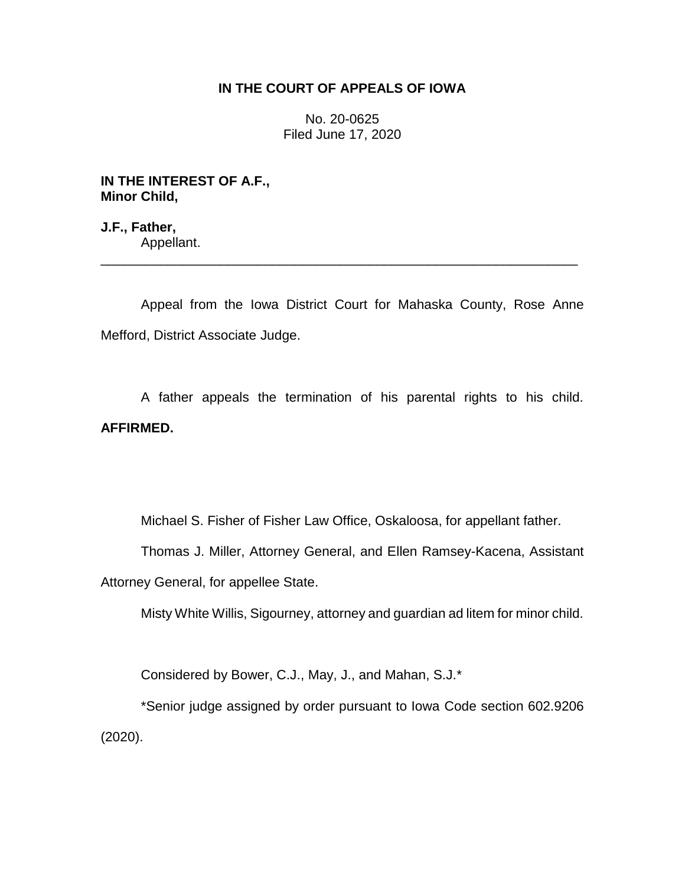# **IN THE COURT OF APPEALS OF IOWA**

No. 20-0625 Filed June 17, 2020

**IN THE INTEREST OF A.F., Minor Child,**

**J.F., Father,** Appellant. \_\_\_\_\_\_\_\_\_\_\_\_\_\_\_\_\_\_\_\_\_\_\_\_\_\_\_\_\_\_\_\_\_\_\_\_\_\_\_\_\_\_\_\_\_\_\_\_\_\_\_\_\_\_\_\_\_\_\_\_\_\_\_\_

Appeal from the Iowa District Court for Mahaska County, Rose Anne Mefford, District Associate Judge.

A father appeals the termination of his parental rights to his child. **AFFIRMED.**

Michael S. Fisher of Fisher Law Office, Oskaloosa, for appellant father.

Thomas J. Miller, Attorney General, and Ellen Ramsey-Kacena, Assistant

Attorney General, for appellee State.

Misty White Willis, Sigourney, attorney and guardian ad litem for minor child.

Considered by Bower, C.J., May, J., and Mahan, S.J.\*

\*Senior judge assigned by order pursuant to Iowa Code section 602.9206 (2020).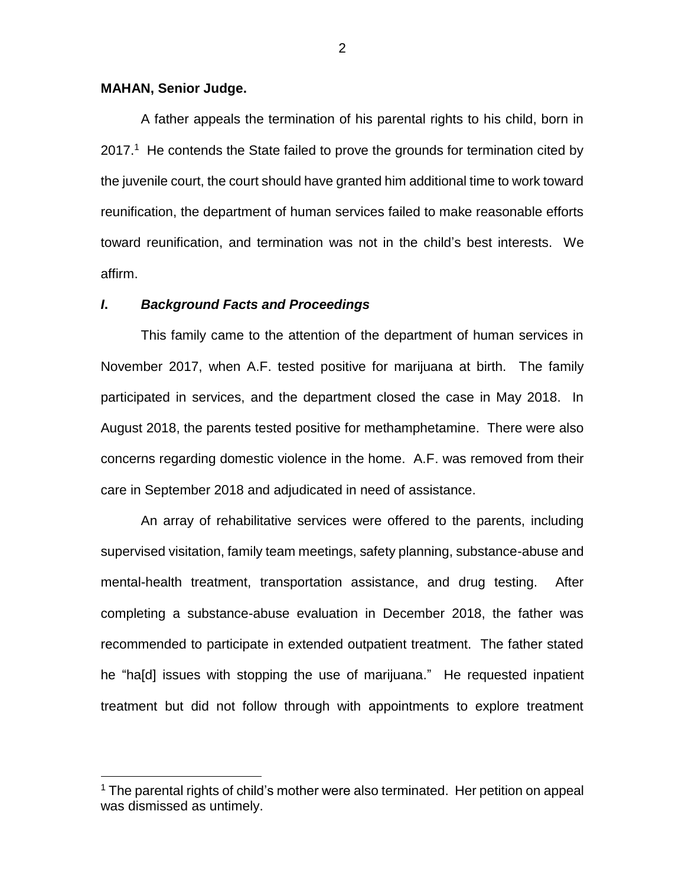### **MAHAN, Senior Judge.**

 $\overline{a}$ 

A father appeals the termination of his parental rights to his child, born in  $2017<sup>1</sup>$  He contends the State failed to prove the grounds for termination cited by the juvenile court, the court should have granted him additional time to work toward reunification, the department of human services failed to make reasonable efforts toward reunification, and termination was not in the child's best interests. We affirm.

## *I***.** *Background Facts and Proceedings*

This family came to the attention of the department of human services in November 2017, when A.F. tested positive for marijuana at birth. The family participated in services, and the department closed the case in May 2018. In August 2018, the parents tested positive for methamphetamine. There were also concerns regarding domestic violence in the home. A.F. was removed from their care in September 2018 and adjudicated in need of assistance.

An array of rehabilitative services were offered to the parents, including supervised visitation, family team meetings, safety planning, substance-abuse and mental-health treatment, transportation assistance, and drug testing. After completing a substance-abuse evaluation in December 2018, the father was recommended to participate in extended outpatient treatment. The father stated he "ha[d] issues with stopping the use of marijuana." He requested inpatient treatment but did not follow through with appointments to explore treatment

<sup>&</sup>lt;sup>1</sup> The parental rights of child's mother were also terminated. Her petition on appeal was dismissed as untimely.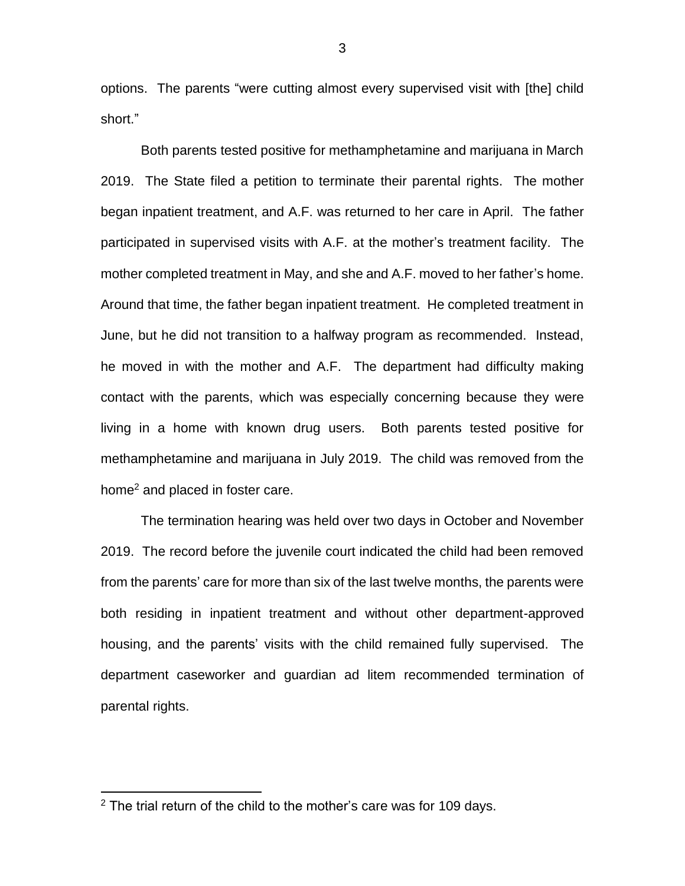options. The parents "were cutting almost every supervised visit with [the] child short."

Both parents tested positive for methamphetamine and marijuana in March 2019. The State filed a petition to terminate their parental rights. The mother began inpatient treatment, and A.F. was returned to her care in April. The father participated in supervised visits with A.F. at the mother's treatment facility. The mother completed treatment in May, and she and A.F. moved to her father's home. Around that time, the father began inpatient treatment. He completed treatment in June, but he did not transition to a halfway program as recommended. Instead, he moved in with the mother and A.F. The department had difficulty making contact with the parents, which was especially concerning because they were living in a home with known drug users. Both parents tested positive for methamphetamine and marijuana in July 2019. The child was removed from the home<sup>2</sup> and placed in foster care.

The termination hearing was held over two days in October and November 2019. The record before the juvenile court indicated the child had been removed from the parents' care for more than six of the last twelve months, the parents were both residing in inpatient treatment and without other department-approved housing, and the parents' visits with the child remained fully supervised. The department caseworker and guardian ad litem recommended termination of parental rights.

 $\overline{a}$ 

 $2$  The trial return of the child to the mother's care was for 109 days.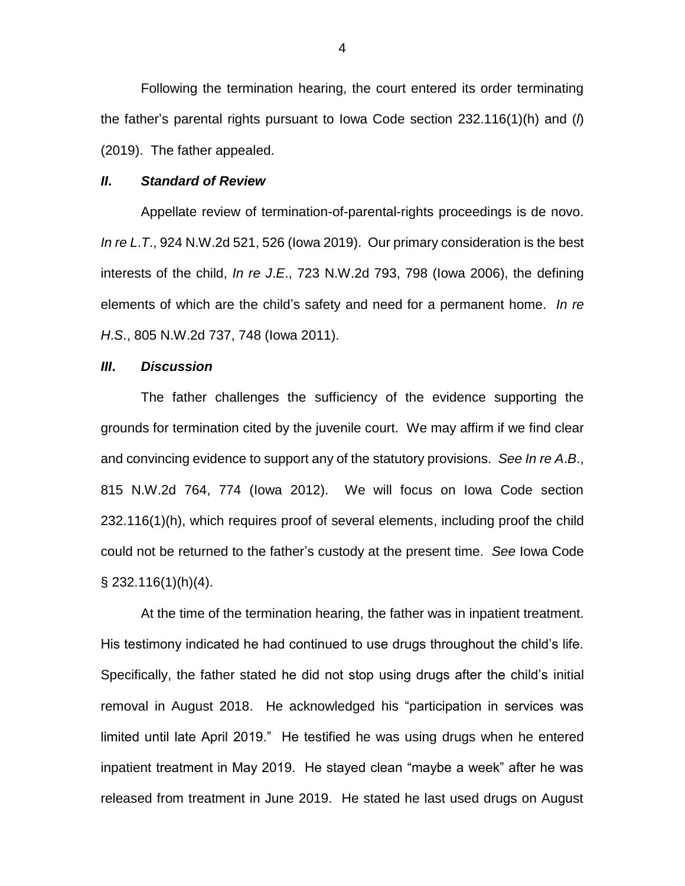Following the termination hearing, the court entered its order terminating the father's parental rights pursuant to Iowa Code section 232.116(1)(h) and (*l*) (2019). The father appealed.

#### *II***.** *Standard of Review*

Appellate review of termination-of-parental-rights proceedings is de novo. *In re L*.*T*., 924 N.W.2d 521, 526 (Iowa 2019). Our primary consideration is the best interests of the child, *In re J*.*E*., 723 N.W.2d 793, 798 (Iowa 2006), the defining elements of which are the child's safety and need for a permanent home. *In re H*.*S*., 805 N.W.2d 737, 748 (Iowa 2011).

## *III***.** *Discussion*

The father challenges the sufficiency of the evidence supporting the grounds for termination cited by the juvenile court. We may affirm if we find clear and convincing evidence to support any of the statutory provisions. *See In re A*.*B*., 815 N.W.2d 764, 774 (Iowa 2012). We will focus on Iowa Code section 232.116(1)(h), which requires proof of several elements, including proof the child could not be returned to the father's custody at the present time. *See* Iowa Code § 232.116(1)(h)(4).

At the time of the termination hearing, the father was in inpatient treatment. His testimony indicated he had continued to use drugs throughout the child's life. Specifically, the father stated he did not stop using drugs after the child's initial removal in August 2018. He acknowledged his "participation in services was limited until late April 2019." He testified he was using drugs when he entered inpatient treatment in May 2019. He stayed clean "maybe a week" after he was released from treatment in June 2019. He stated he last used drugs on August

4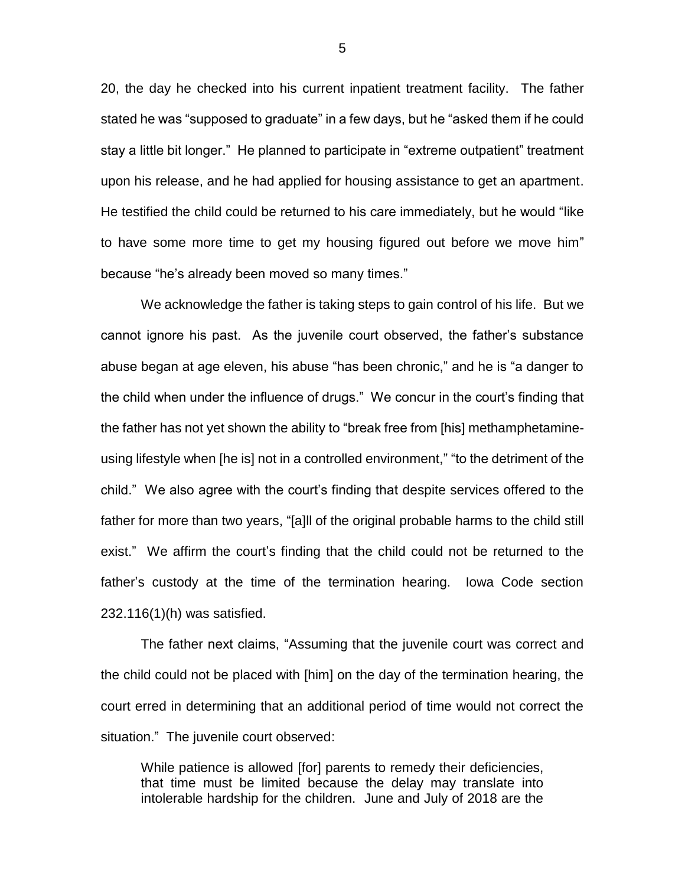20, the day he checked into his current inpatient treatment facility. The father stated he was "supposed to graduate" in a few days, but he "asked them if he could stay a little bit longer." He planned to participate in "extreme outpatient" treatment upon his release, and he had applied for housing assistance to get an apartment. He testified the child could be returned to his care immediately, but he would "like to have some more time to get my housing figured out before we move him" because "he's already been moved so many times."

We acknowledge the father is taking steps to gain control of his life. But we cannot ignore his past. As the juvenile court observed, the father's substance abuse began at age eleven, his abuse "has been chronic," and he is "a danger to the child when under the influence of drugs." We concur in the court's finding that the father has not yet shown the ability to "break free from [his] methamphetamineusing lifestyle when [he is] not in a controlled environment," "to the detriment of the child." We also agree with the court's finding that despite services offered to the father for more than two years, "[a]ll of the original probable harms to the child still exist." We affirm the court's finding that the child could not be returned to the father's custody at the time of the termination hearing. Iowa Code section 232.116(1)(h) was satisfied.

The father next claims, "Assuming that the juvenile court was correct and the child could not be placed with [him] on the day of the termination hearing, the court erred in determining that an additional period of time would not correct the situation." The juvenile court observed:

While patience is allowed [for] parents to remedy their deficiencies, that time must be limited because the delay may translate into intolerable hardship for the children. June and July of 2018 are the

5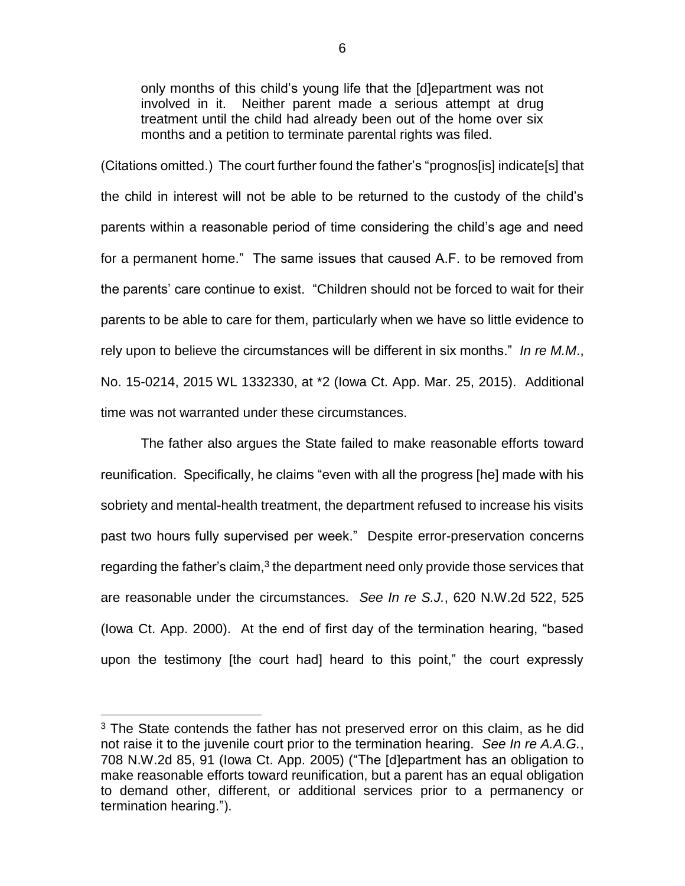only months of this child's young life that the [d]epartment was not involved in it. Neither parent made a serious attempt at drug treatment until the child had already been out of the home over six months and a petition to terminate parental rights was filed.

(Citations omitted.) The court further found the father's "prognos[is] indicate[s] that the child in interest will not be able to be returned to the custody of the child's parents within a reasonable period of time considering the child's age and need for a permanent home." The same issues that caused A.F. to be removed from the parents' care continue to exist. "Children should not be forced to wait for their parents to be able to care for them, particularly when we have so little evidence to rely upon to believe the circumstances will be different in six months." *In re M.M*., No. 15-0214, 2015 WL 1332330, at \*2 (Iowa Ct. App. Mar. 25, 2015). Additional time was not warranted under these circumstances.

The father also argues the State failed to make reasonable efforts toward reunification. Specifically, he claims "even with all the progress [he] made with his sobriety and mental-health treatment, the department refused to increase his visits past two hours fully supervised per week." Despite error-preservation concerns regarding the father's claim, $3$  the department need only provide those services that are reasonable under the circumstances. *See In re S.J.*, 620 N.W.2d 522, 525 (Iowa Ct. App. 2000). At the end of first day of the termination hearing, "based upon the testimony [the court had] heard to this point," the court expressly

 $\overline{a}$ 

 $3$  The State contends the father has not preserved error on this claim, as he did not raise it to the juvenile court prior to the termination hearing. *See In re A.A.G.*, 708 N.W.2d 85, 91 (Iowa Ct. App. 2005) ("The [d]epartment has an obligation to make reasonable efforts toward reunification, but a parent has an equal obligation to demand other, different, or additional services prior to a permanency or termination hearing.").